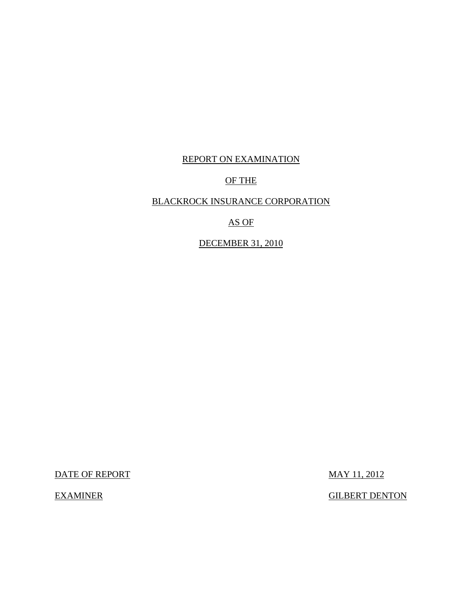# REPORT ON EXAMINATION

# OF THE

# BLACKROCK INSURANCE CORPORATION

## AS OF

# DECEMBER 31, 2010

DATE OF REPORT MAY 11, 2012

EXAMINER GILBERT DENTON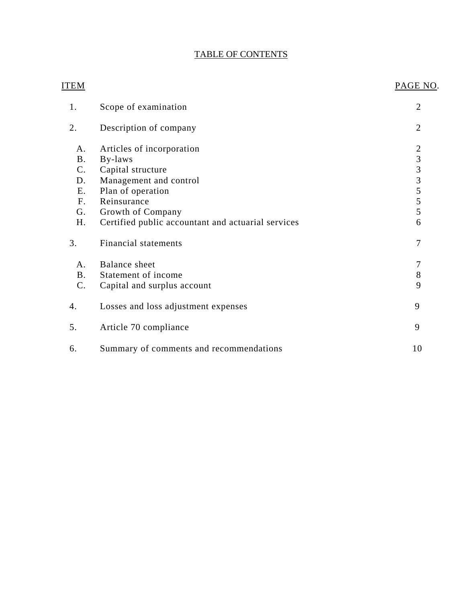# TABLE OF CONTENTS

| <u>ITEM</u>    |                                                    | PAGE NO.            |
|----------------|----------------------------------------------------|---------------------|
| 1.             | Scope of examination                               | $\overline{2}$      |
| 2.             | Description of company                             | $\overline{2}$      |
| A.             | Articles of incorporation                          |                     |
| <b>B.</b>      | By-laws                                            | $2$ 3 3 3 5 5 5 5 5 |
| C.             | Capital structure                                  |                     |
| D.             | Management and control                             |                     |
| <b>E.</b>      | Plan of operation                                  |                     |
| F <sub>r</sub> | Reinsurance                                        |                     |
| G.             | Growth of Company                                  |                     |
| H.             | Certified public accountant and actuarial services | 6                   |
| 3.             | Financial statements                               | 7                   |
| A.             | <b>Balance</b> sheet                               | 7                   |
| <b>B.</b>      | Statement of income                                | 8                   |
| $C$ .          | Capital and surplus account                        | 9                   |
| 4.             | Losses and loss adjustment expenses                | 9                   |
| 5.             | Article 70 compliance                              | 9                   |
| 6.             | Summary of comments and recommendations            | 10                  |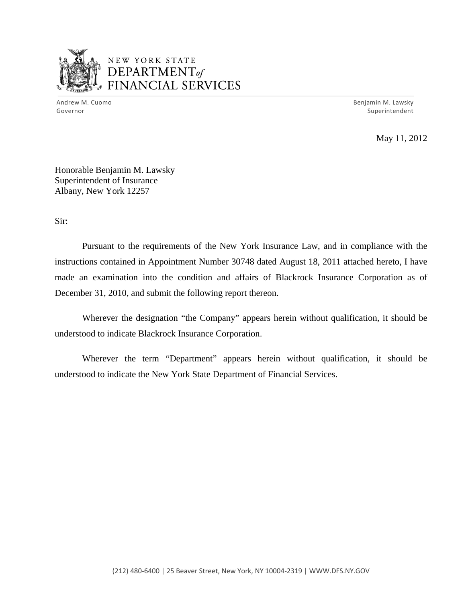

# NEW YORK STATE DEPARTMENTof *~,........,,* FINANCIAL SERVICES

Andrew M. Cuomo **Benjamin M. Lawsky** Governor Superintendent

May 11, 2012

Honorable Benjamin M. Lawsky Superintendent of Insurance Albany, New York 12257

Sir:

Pursuant to the requirements of the New York Insurance Law, and in compliance with the instructions contained in Appointment Number 30748 dated August 18, 2011 attached hereto, I have made an examination into the condition and affairs of Blackrock Insurance Corporation as of December 31, 2010, and submit the following report thereon.

Wherever the designation "the Company" appears herein without qualification, it should be understood to indicate Blackrock Insurance Corporation.

Wherever the term "Department" appears herein without qualification, it should be understood to indicate the New York State Department of Financial Services.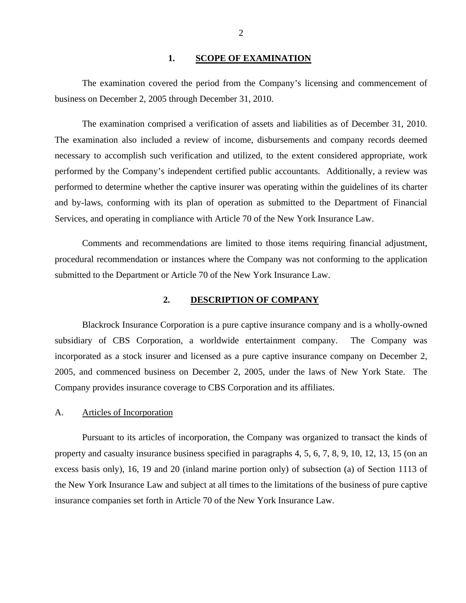#### 1. SCOPE OF EXAMINATION

<span id="page-3-0"></span>The examination covered the period from the Company's licensing and commencement of business on December 2, 2005 through December 31, 2010.

The examination comprised a verification of assets and liabilities as of December 31, 2010. The examination also included a review of income, disbursements and company records deemed necessary to accomplish such verification and utilized, to the extent considered appropriate, work performed by the Company's independent certified public accountants. Additionally, a review was performed to determine whether the captive insurer was operating within the guidelines of its charter and by-laws, conforming with its plan of operation as submitted to the Department of Financial Services, and operating in compliance with Article 70 of the New York Insurance Law.

Comments and recommendations are limited to those items requiring financial adjustment, procedural recommendation or instances where the Company was not conforming to the application submitted to the Department or Article 70 of the New York Insurance Law.

#### **2. DESCRIPTION OF COMPANY**

Blackrock Insurance Corporation is a pure captive insurance company and is a wholly-owned subsidiary of CBS Corporation, a worldwide entertainment company. The Company was incorporated as a stock insurer and licensed as a pure captive insurance company on December 2, 2005, and commenced business on December 2, 2005, under the laws of New York State. The Company provides insurance coverage to CBS Corporation and its affiliates.

#### A. Articles of Incorporation

Pursuant to its articles of incorporation, the Company was organized to transact the kinds of property and casualty insurance business specified in paragraphs 4, 5, 6, 7, 8, 9, 10, 12, 13, 15 (on an excess basis only), 16, 19 and 20 (inland marine portion only) of subsection (a) of Section 1113 of the New York Insurance Law and subject at all times to the limitations of the business of pure captive insurance companies set forth in Article 70 of the New York Insurance Law.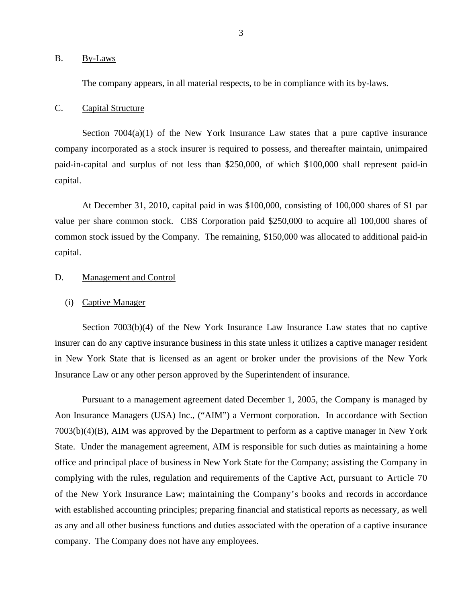#### <span id="page-4-0"></span>B. By-Laws

The company appears, in all material respects, to be in compliance with its by-laws.

## C. Capital Structure

Section  $7004(a)(1)$  of the New York Insurance Law states that a pure captive insurance company incorporated as a stock insurer is required to possess, and thereafter maintain, unimpaired paid-in-capital and surplus of not less than \$250,000, of which \$100,000 shall represent paid-in capital.

At December 31, 2010, capital paid in was \$100,000, consisting of 100,000 shares of \$1 par value per share common stock. CBS Corporation paid \$250,000 to acquire all 100,000 shares of common stock issued by the Company. The remaining, \$150,000 was allocated to additional paid-in capital.

#### D. Management and Control

#### (i) Captive Manager

Section 7003(b)(4) of the New York Insurance Law Insurance Law states that no captive insurer can do any captive insurance business in this state unless it utilizes a captive manager resident in New York State that is licensed as an agent or broker under the provisions of the New York Insurance Law or any other person approved by the Superintendent of insurance.

Pursuant to a management agreement dated December 1, 2005, the Company is managed by Aon Insurance Managers (USA) Inc., ("AIM") a Vermont corporation. In accordance with Section 7003(b)(4)(B), AIM was approved by the Department to perform as a captive manager in New York State. Under the management agreement, AIM is responsible for such duties as maintaining a home office and principal place of business in New York State for the Company; assisting the Company in complying with the rules, regulation and requirements of the Captive Act, pursuant to Article 70 of the New York Insurance Law; maintaining the Company's books and records in accordance with established accounting principles; preparing financial and statistical reports as necessary, as well as any and all other business functions and duties associated with the operation of a captive insurance company. The Company does not have any employees.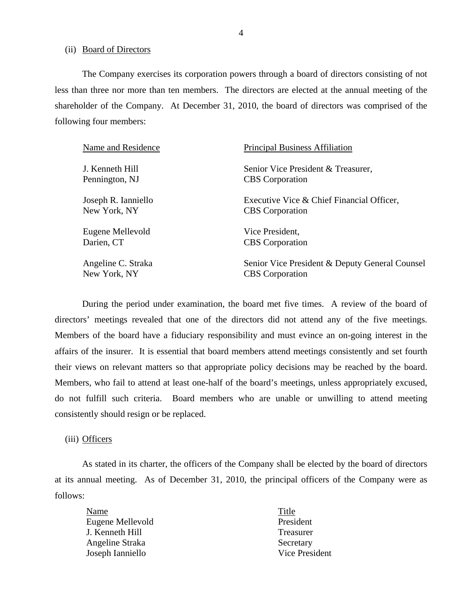(ii) Board of Directors

The Company exercises its corporation powers through a board of directors consisting of not less than three nor more than ten members. The directors are elected at the annual meeting of the shareholder of the Company. At December 31, 2010, the board of directors was comprised of the following four members:

| Name and Residence  | <b>Principal Business Affiliation</b>          |
|---------------------|------------------------------------------------|
| J. Kenneth Hill     | Senior Vice President & Treasurer,             |
| Pennington, NJ      | <b>CBS</b> Corporation                         |
| Joseph R. Ianniello | Executive Vice & Chief Financial Officer,      |
| New York, NY        | <b>CBS</b> Corporation                         |
| Eugene Mellevold    | Vice President,                                |
| Darien, CT          | <b>CBS</b> Corporation                         |
| Angeline C. Straka  | Senior Vice President & Deputy General Counsel |
| New York, NY        | <b>CBS</b> Corporation                         |

During the period under examination, the board met five times. A review of the board of directors' meetings revealed that one of the directors did not attend any of the five meetings. Members of the board have a fiduciary responsibility and must evince an on-going interest in the affairs of the insurer. It is essential that board members attend meetings consistently and set fourth their views on relevant matters so that appropriate policy decisions may be reached by the board. Members, who fail to attend at least one-half of the board's meetings, unless appropriately excused, do not fulfill such criteria. Board members who are unable or unwilling to attend meeting consistently should resign or be replaced.

#### (iii) Officers

As stated in its charter, the officers of the Company shall be elected by the board of directors at its annual meeting. As of December 31, 2010, the principal officers of the Company were as follows:

Name Title Eugene Mellevold President J. Kenneth Hill Treasurer Angeline Straka Secretary Joseph Ianniello Vice President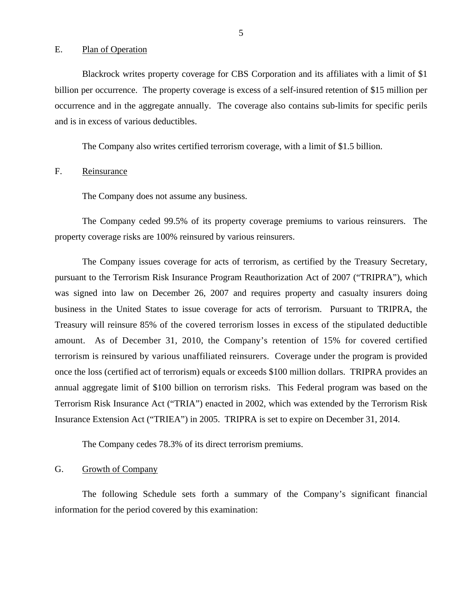#### <span id="page-6-0"></span>E. Plan of Operation

Blackrock writes property coverage for CBS Corporation and its affiliates with a limit of \$1 billion per occurrence. The property coverage is excess of a self-insured retention of \$15 million per occurrence and in the aggregate annually. The coverage also contains sub-limits for specific perils and is in excess of various deductibles.

The Company also writes certified terrorism coverage, with a limit of \$1.5 billion.

F. Reinsurance

The Company does not assume any business.

The Company ceded 99.5% of its property coverage premiums to various reinsurers. The property coverage risks are 100% reinsured by various reinsurers.

The Company issues coverage for acts of terrorism, as certified by the Treasury Secretary, pursuant to the Terrorism Risk Insurance Program Reauthorization Act of 2007 ("TRIPRA"), which was signed into law on December 26, 2007 and requires property and casualty insurers doing business in the United States to issue coverage for acts of terrorism. Pursuant to TRIPRA, the Treasury will reinsure 85% of the covered terrorism losses in excess of the stipulated deductible amount. As of December 31, 2010, the Company's retention of 15% for covered certified terrorism is reinsured by various unaffiliated reinsurers. Coverage under the program is provided once the loss (certified act of terrorism) equals or exceeds \$100 million dollars. TRIPRA provides an annual aggregate limit of \$100 billion on terrorism risks. This Federal program was based on the Terrorism Risk Insurance Act ("TRIA") enacted in 2002, which was extended by the Terrorism Risk Insurance Extension Act ("TRIEA") in 2005. TRIPRA is set to expire on December 31, 2014.

The Company cedes 78.3% of its direct terrorism premiums.

## G. Growth of Company

The following Schedule sets forth a summary of the Company's significant financial information for the period covered by this examination: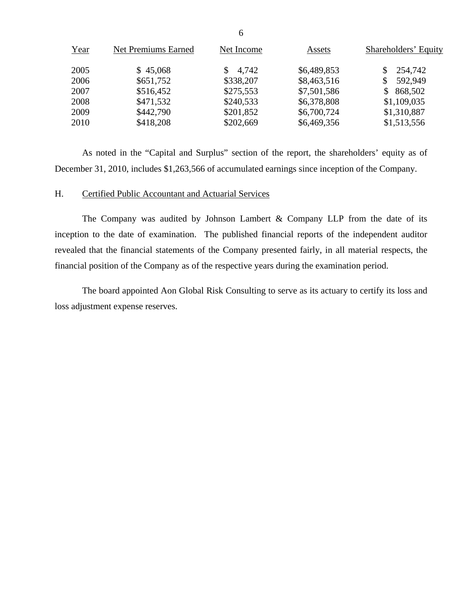| Year | <b>Net Premiums Earned</b> | Net Income | Assets      | Shareholders' Equity |
|------|----------------------------|------------|-------------|----------------------|
| 2005 | \$45,068                   | \$4,742    | \$6,489,853 | 254,742              |
| 2006 | \$651,752                  | \$338,207  | \$8,463,516 | 592,949              |
| 2007 | \$516,452                  | \$275,553  | \$7,501,586 | 868,502              |
| 2008 | \$471,532                  | \$240,533  | \$6,378,808 | \$1,109,035          |
| 2009 | \$442,790                  | \$201,852  | \$6,700,724 | \$1,310,887          |
| 2010 | \$418,208                  | \$202,669  | \$6,469,356 | \$1,513,556          |

As noted in the "Capital and Surplus" section of the report, the shareholders' equity as of December 31, 2010, includes \$1,263,566 of accumulated earnings since inception of the Company.

## H. Certified Public Accountant and Actuarial Services

The Company was audited by Johnson Lambert  $&$  Company LLP from the date of its inception to the date of examination. The published financial reports of the independent auditor revealed that the financial statements of the Company presented fairly, in all material respects, the financial position of the Company as of the respective years during the examination period.

The board appointed Aon Global Risk Consulting to serve as its actuary to certify its loss and loss adjustment expense reserves.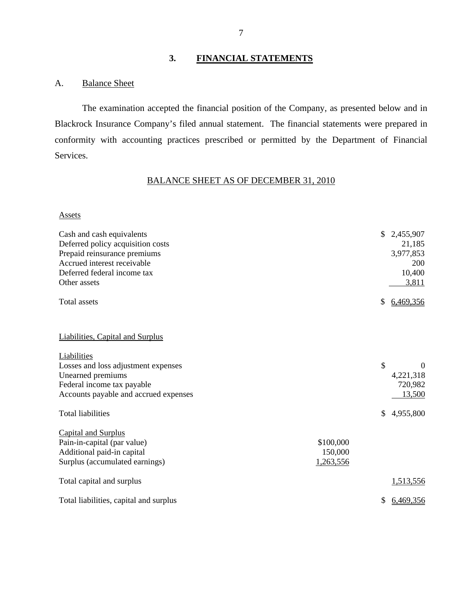# **3. FINANCIAL STATEMENTS**

## A. Balance Sheet

The examination accepted the financial position of the Company, as presented below and in Blackrock Insurance Company's filed annual statement. The financial statements were prepared in conformity with accounting practices prescribed or permitted by the Department of Financial Services.

# BALANCE SHEET AS OF DECEMBER 31, 2010

#### Assets

| Cash and cash equivalents<br>Deferred policy acquisition costs<br>Prepaid reinsurance premiums<br>Accrued interest receivable<br>Deferred federal income tax<br>Other assets |                                   | \$            | 2,455,907<br>21,185<br>3,977,853<br>200<br>10,400<br>3,811 |
|------------------------------------------------------------------------------------------------------------------------------------------------------------------------------|-----------------------------------|---------------|------------------------------------------------------------|
| Total assets                                                                                                                                                                 |                                   | \$            | 6,469,356                                                  |
| <b>Liabilities, Capital and Surplus</b>                                                                                                                                      |                                   |               |                                                            |
| Liabilities<br>Losses and loss adjustment expenses<br>Unearned premiums<br>Federal income tax payable<br>Accounts payable and accrued expenses                               |                                   | $\mathcal{S}$ | $\theta$<br>4,221,318<br>720,982<br>13,500                 |
| <b>Total liabilities</b>                                                                                                                                                     |                                   | \$            | 4,955,800                                                  |
| <b>Capital and Surplus</b><br>Pain-in-capital (par value)<br>Additional paid-in capital<br>Surplus (accumulated earnings)                                                    | \$100,000<br>150,000<br>1,263,556 |               |                                                            |
| Total capital and surplus                                                                                                                                                    |                                   |               | 1,513,556                                                  |
| Total liabilities, capital and surplus                                                                                                                                       |                                   | \$            | 6,469,356                                                  |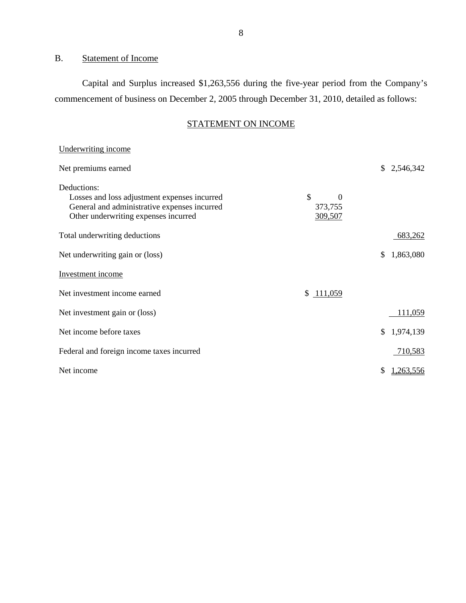# B. Statement of Income

Capital and Surplus increased \$1,263,556 during the five-year period from the Company's commencement of business on December 2, 2005 through December 31, 2010, detailed as follows:

# STATEMENT ON INCOME

| Underwriting income                          |                |                  |
|----------------------------------------------|----------------|------------------|
| Net premiums earned                          |                | \$2,546,342      |
| Deductions:                                  |                |                  |
| Losses and loss adjustment expenses incurred | \$<br>$\theta$ |                  |
| General and administrative expenses incurred | 373,755        |                  |
| Other underwriting expenses incurred         | 309,507        |                  |
| Total underwriting deductions                |                | 683,262          |
| Net underwriting gain or (loss)              |                | \$<br>1,863,080  |
| Investment income                            |                |                  |
| Net investment income earned                 | \$111,059      |                  |
| Net investment gain or (loss)                |                | 111,059          |
| Net income before taxes                      |                | 1,974,139<br>\$. |
| Federal and foreign income taxes incurred    |                | 710,583          |
| Net income                                   |                | S<br>1,263,556   |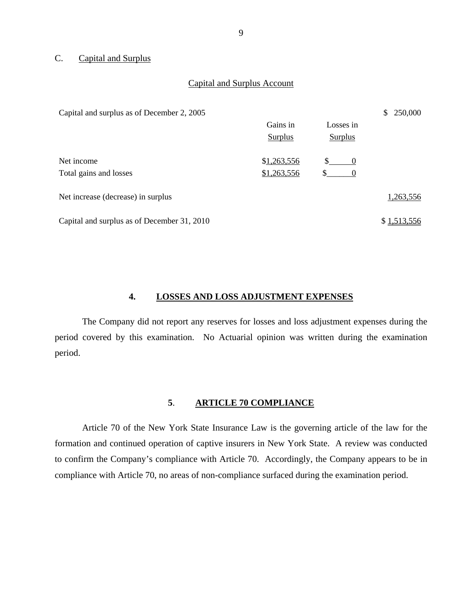## C. Capital and Surplus

#### Capital and Surplus Account

| Capital and surplus as of December 2, 2005  |             |                | 250,000<br>\$. |
|---------------------------------------------|-------------|----------------|----------------|
|                                             | Gains in    | Losses in      |                |
|                                             | Surplus     | <b>Surplus</b> |                |
| Net income                                  | \$1,263,556 | S.<br>0        |                |
| Total gains and losses                      | \$1,263,556 | \$             |                |
| Net increase (decrease) in surplus          |             |                | 1,263,556      |
| Capital and surplus as of December 31, 2010 |             |                | \$1,513,556    |

## **4. LOSSES AND LOSS ADJUSTMENT EXPENSES**

The Company did not report any reserves for losses and loss adjustment expenses during the period covered by this examination. No Actuarial opinion was written during the examination period.

### **5**. **ARTICLE 70 COMPLIANCE**

Article 70 of the New York State Insurance Law is the governing article of the law for the formation and continued operation of captive insurers in New York State. A review was conducted to confirm the Company's compliance with Article 70. Accordingly, the Company appears to be in compliance with Article 70, no areas of non-compliance surfaced during the examination period.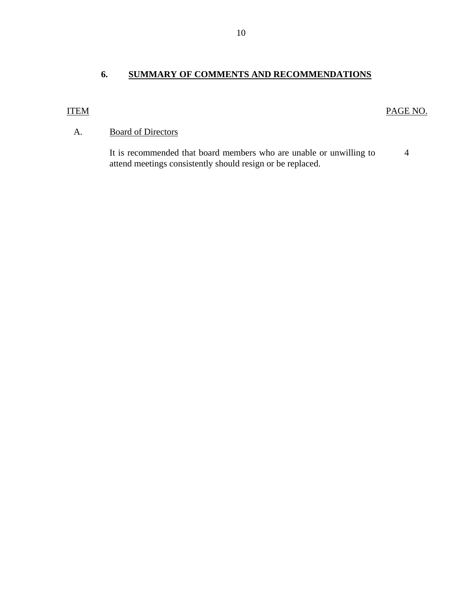# **6. SUMMARY OF COMMENTS AND RECOMMENDATIONS**

# ITEM

# PAGE NO.

# A. Board of Directors

It is recommended that board members who are unable or unwilling to attend meetings consistently should resign or be replaced. 4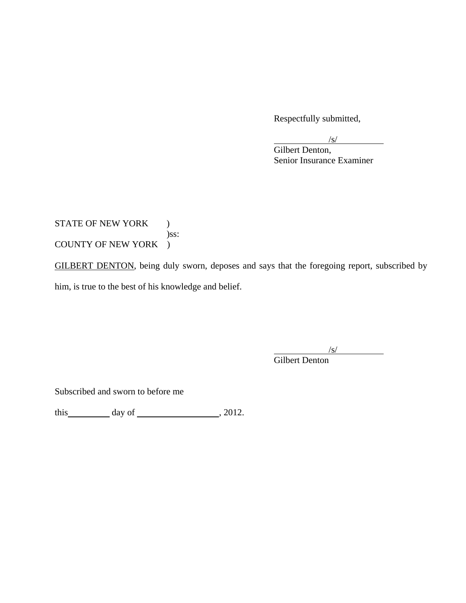Respectfully submitted,

 $\sqrt{s}$  Gilbert Denton, Senior Insurance Examiner

STATE OF NEW YORK ) )ss: COUNTY OF NEW YORK )

GILBERT DENTON, being duly sworn, deposes and says that the foregoing report, subscribed by him, is true to the best of his knowledge and belief.

 $\sqrt{s}$ /

Gilbert Denton

Subscribed and sworn to before me

this  $\_\_\_\_\_$  day of  $\_\_\_\_\_\_$ , 2012.